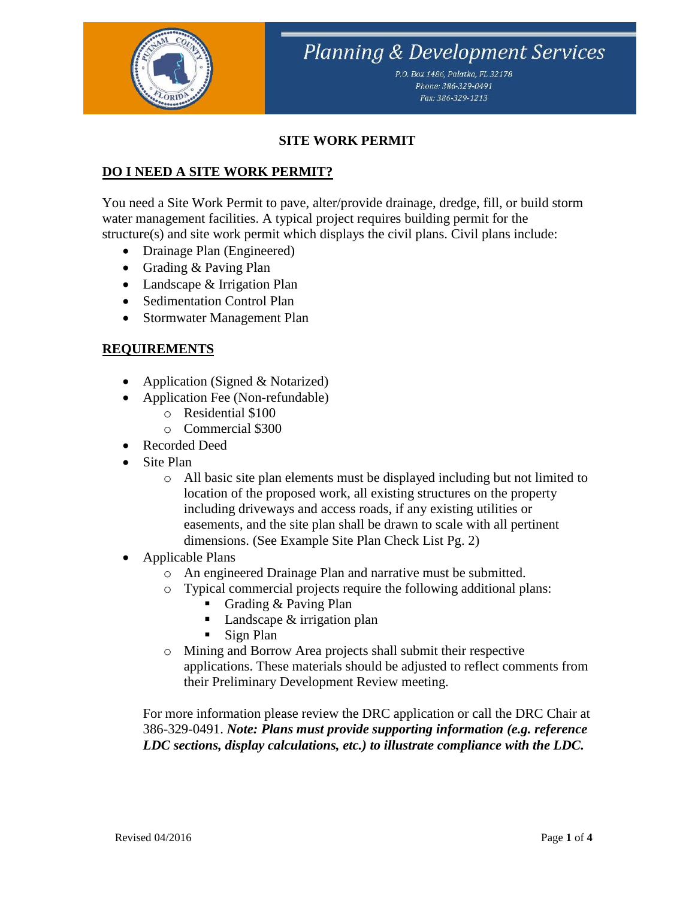

P.O. Box 1486, Palatka, FL 32178 Phone: 386-329-0491 Fax: 386-329-1213

#### **SITE WORK PERMIT**

### **DO I NEED A SITE WORK PERMIT?**

You need a Site Work Permit to pave, alter/provide drainage, dredge, fill, or build storm water management facilities. A typical project requires building permit for the structure(s) and site work permit which displays the civil plans. Civil plans include:

- Drainage Plan (Engineered)
- Grading & Paving Plan
- Landscape & Irrigation Plan
- Sedimentation Control Plan
- Stormwater Management Plan

#### **REQUIREMENTS**

- Application (Signed & Notarized)
- Application Fee (Non-refundable)
	- o Residential \$100
	- o Commercial \$300
- Recorded Deed
- Site Plan
	- o All basic site plan elements must be displayed including but not limited to location of the proposed work, all existing structures on the property including driveways and access roads, if any existing utilities or easements, and the site plan shall be drawn to scale with all pertinent dimensions. (See Example Site Plan Check List Pg. 2)
- Applicable Plans
	- o An engineered Drainage Plan and narrative must be submitted.
	- o Typical commercial projects require the following additional plans:
		- Grading & Paving Plan
		- $\blacksquare$  Landscape & irrigation plan
		- Sign Plan
	- o Mining and Borrow Area projects shall submit their respective applications. These materials should be adjusted to reflect comments from their Preliminary Development Review meeting.

For more information please review the DRC application or call the DRC Chair at 386-329-0491. *Note: Plans must provide supporting information (e.g. reference LDC sections, display calculations, etc.) to illustrate compliance with the LDC.*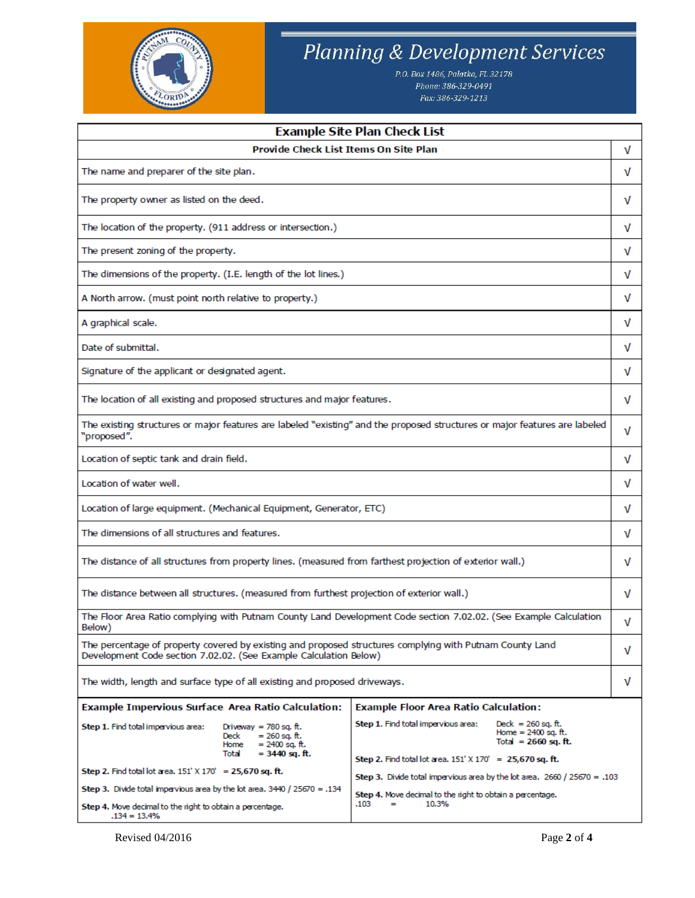

P.O. Box 1486, Palatka, FL 32178 Phone: 386-329-0491 Fax: 386-329-1213

| Provide Check List Items On Site Plan<br>v                                                                                                                                                                                               |  |  |
|------------------------------------------------------------------------------------------------------------------------------------------------------------------------------------------------------------------------------------------|--|--|
|                                                                                                                                                                                                                                          |  |  |
| The name and preparer of the site plan.<br>v                                                                                                                                                                                             |  |  |
| The property owner as listed on the deed.<br>ν                                                                                                                                                                                           |  |  |
| The location of the property. (911 address or intersection.)<br>v                                                                                                                                                                        |  |  |
| The present zoning of the property.<br>v                                                                                                                                                                                                 |  |  |
| The dimensions of the property. (I.E. length of the lot lines.)                                                                                                                                                                          |  |  |
| A North arrow. (must point north relative to property.)                                                                                                                                                                                  |  |  |
| A graphical scale.                                                                                                                                                                                                                       |  |  |
| Date of submittal.                                                                                                                                                                                                                       |  |  |
| Signature of the applicant or designated agent.                                                                                                                                                                                          |  |  |
| The location of all existing and proposed structures and major features.                                                                                                                                                                 |  |  |
| The existing structures or major features are labeled "existing" and the proposed structures or major features are labeled<br>"proposed".                                                                                                |  |  |
| Location of septic tank and drain field.                                                                                                                                                                                                 |  |  |
| Location of water well.                                                                                                                                                                                                                  |  |  |
| Location of large equipment. (Mechanical Equipment, Generator, ETC)                                                                                                                                                                      |  |  |
| The dimensions of all structures and features.                                                                                                                                                                                           |  |  |
| The distance of all structures from property lines. (measured from farthest projection of exterior wall.)                                                                                                                                |  |  |
| The distance between all structures. (measured from furthest projection of exterior wall.)                                                                                                                                               |  |  |
| The Floor Area Ratio complying with Putnam County Land Development Code section 7.02.02. (See Example Calculation<br>Below)                                                                                                              |  |  |
| The percentage of property covered by existing and proposed structures complying with Putnam County Land<br>Development Code section 7.02.02. (See Example Calculation Below)                                                            |  |  |
| The width, length and surface type of all existing and proposed driveways.                                                                                                                                                               |  |  |
| <b>Example Impervious Surface Area Ratio Calculation:</b><br><b>Example Floor Area Ratio Calculation:</b>                                                                                                                                |  |  |
| Step 1. Find total impervious area:<br>Deck = $260$ sq. ft.<br>Step 1. Find total impervious area:<br>Driveway = $780$ sq. ft.<br>Home = $2400$ sq. ft.<br>$= 260$ sq. ft.<br>Deck<br>Total = $2660$ sq. ft.<br>Home<br>= 2400 sq. ft.   |  |  |
| Total<br>$= 3440$ sq. ft.<br>Step 2. Find total lot area. $151' \times 170' = 25,670$ sq. ft.                                                                                                                                            |  |  |
| Step 2. Find total lot area. $151' \times 170' = 25,670$ sq. ft.<br>Step 3. Divide total impervious area by the lot area. $2660 / 25670 = .103$                                                                                          |  |  |
| Step 3. Divide total impervious area by the lot area, $3440 / 25670 = .134$<br>Step 4. Move decimal to the right to obtain a percentage.<br>10.3%<br>.103<br>Step 4. Move decimal to the right to obtain a percentage.<br>$.134 = 13.4%$ |  |  |

Revised 04/2016 Page **2** of **4**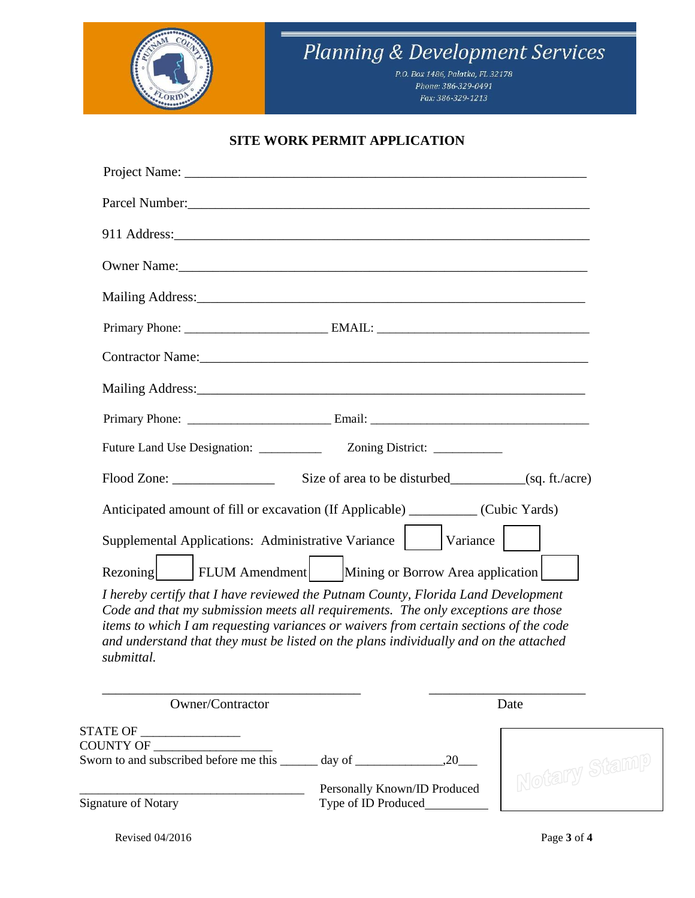

P.O. Box 1486, Palatka, FL 32178 Phone: 386-329-0491 Fax: 386-329-1213

### **SITE WORK PERMIT APPLICATION**

| Project Name: 2008. [2016] Project Name:                                                                                                                                                                                                                                                                                                                               |
|------------------------------------------------------------------------------------------------------------------------------------------------------------------------------------------------------------------------------------------------------------------------------------------------------------------------------------------------------------------------|
|                                                                                                                                                                                                                                                                                                                                                                        |
|                                                                                                                                                                                                                                                                                                                                                                        |
|                                                                                                                                                                                                                                                                                                                                                                        |
|                                                                                                                                                                                                                                                                                                                                                                        |
|                                                                                                                                                                                                                                                                                                                                                                        |
|                                                                                                                                                                                                                                                                                                                                                                        |
|                                                                                                                                                                                                                                                                                                                                                                        |
|                                                                                                                                                                                                                                                                                                                                                                        |
|                                                                                                                                                                                                                                                                                                                                                                        |
| Flood Zone: Size of area to be disturbed (sq. ft./acre)                                                                                                                                                                                                                                                                                                                |
| Anticipated amount of fill or excavation (If Applicable) __________ (Cubic Yards)                                                                                                                                                                                                                                                                                      |
| Supplemental Applications: Administrative Variance   Variance                                                                                                                                                                                                                                                                                                          |
| FLUM Amendment   Mining or Borrow Area application  <br>Rezoning                                                                                                                                                                                                                                                                                                       |
| I hereby certify that I have reviewed the Putnam County, Florida Land Development<br>Code and that my submission meets all requirements. The only exceptions are those<br>items to which I am requesting variances or waivers from certain sections of the code<br>and understand that they must be listed on the plans individually and on the attached<br>submittal. |
| Owner/Contractor<br>Date                                                                                                                                                                                                                                                                                                                                               |

| OWIICI/COIItiaCtul                     |                                                     | Daw            |
|----------------------------------------|-----------------------------------------------------|----------------|
| <b>STATE OF</b><br><b>COUNTY OF</b>    |                                                     |                |
| Sworn to and subscribed before me this | 20<br>day of                                        |                |
| Signature of Notary                    | Personally Known/ID Produced<br>Type of ID Produced | I Notary Stano |

Revised 04/2016 Page **3** of **4**